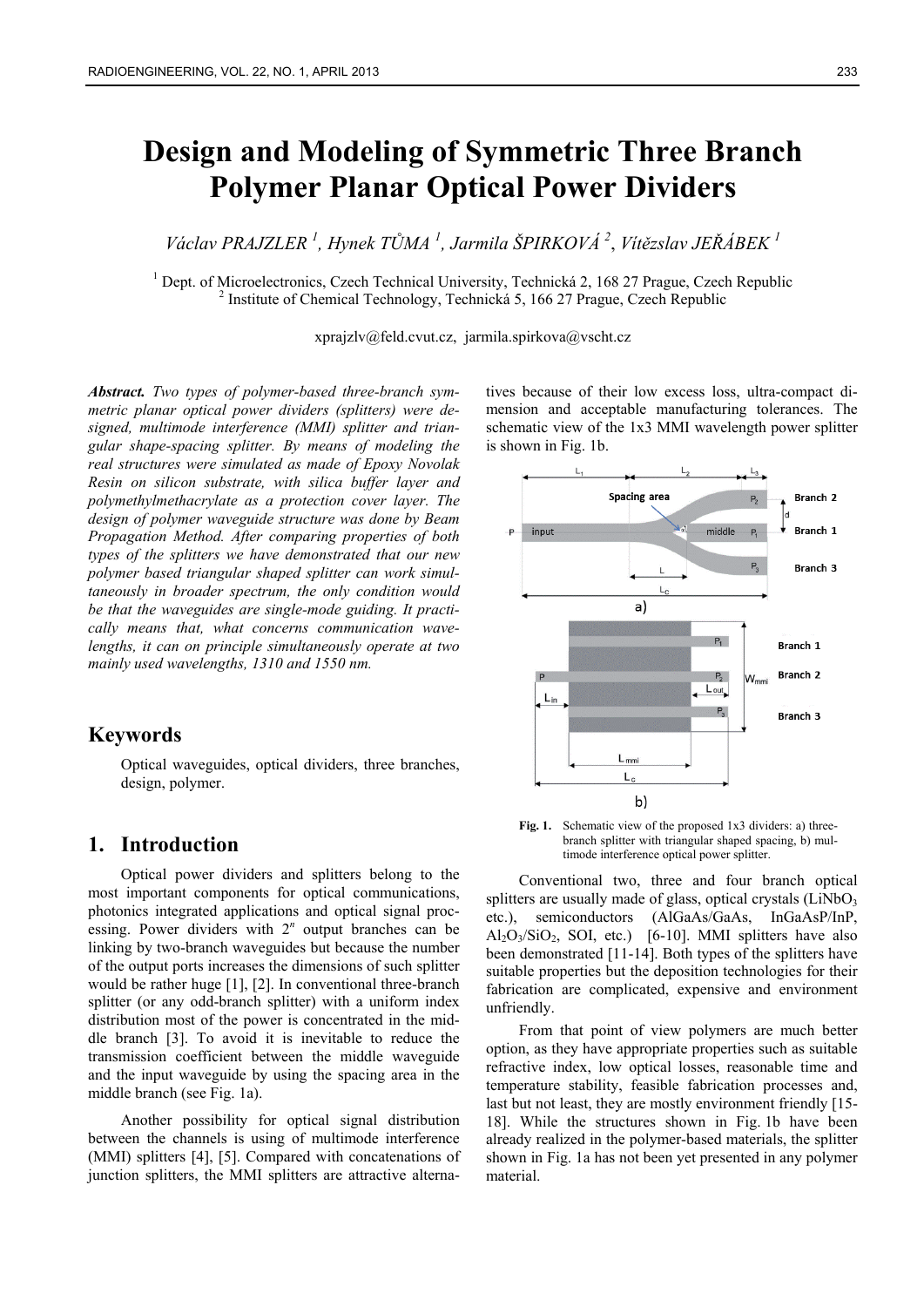# **Design and Modeling of Symmetric Three Branch Polymer Planar Optical Power Dividers**

*Václav PRAJZLER 1 , Hynek TŮMA 1 , Jarmila ŠPIRKOVÁ 2* , *Vítězslav JEŘÁBEK <sup>1</sup>*

<sup>1</sup> Dept. of Microelectronics, Czech Technical University, Technická 2, 168 27 Prague, Czech Republic  $\frac{2}{5}$  Institute of Chamical Technology, Technická 5, 166 27 Prague, Czech Republic <sup>2</sup> Institute of Chemical Technology, Technická 5, 166 27 Prague, Czech Republic

xprajzlv@feld.cvut.cz, jarmila.spirkova@vscht.cz

*Abstract. Two types of polymer-based three-branch symmetric planar optical power dividers (splitters) were designed, multimode interference (MMI) splitter and triangular shape-spacing splitter. By means of modeling the real structures were simulated as made of Epoxy Novolak Resin on silicon substrate, with silica buffer layer and polymethylmethacrylate as a protection cover layer. The design of polymer waveguide structure was done by Beam Propagation Method. After comparing properties of both types of the splitters we have demonstrated that our new polymer based triangular shaped splitter can work simultaneously in broader spectrum, the only condition would be that the waveguides are single-mode guiding. It practically means that, what concerns communication wavelengths, it can on principle simultaneously operate at two mainly used wavelengths, 1310 and 1550 nm.* 

# **Keywords**

Optical waveguides, optical dividers, three branches, design, polymer.

### **1. Introduction**

Optical power dividers and splitters belong to the most important components for optical communications, photonics integrated applications and optical signal processing. Power dividers with  $2<sup>n</sup>$  output branches can be linking by two-branch waveguides but because the number of the output ports increases the dimensions of such splitter would be rather huge [1], [2]. In conventional three-branch splitter (or any odd-branch splitter) with a uniform index distribution most of the power is concentrated in the middle branch [3]. To avoid it is inevitable to reduce the transmission coefficient between the middle waveguide and the input waveguide by using the spacing area in the middle branch (see Fig. 1a).

Another possibility for optical signal distribution between the channels is using of multimode interference (MMI) splitters [4], [5]. Compared with concatenations of junction splitters, the MMI splitters are attractive alterna-

tives because of their low excess loss, ultra-compact dimension and acceptable manufacturing tolerances. The schematic view of the 1x3 MMI wavelength power splitter is shown in Fig. 1b.



Fig. 1. Schematic view of the proposed 1x3 dividers: a) threebranch splitter with triangular shaped spacing, b) multimode interference optical power splitter.

Conventional two, three and four branch optical splitters are usually made of glass, optical crystals  $(LiNbO<sub>3</sub>)$ etc.), semiconductors (AlGaAs/GaAs, InGaAsP/InP,  $Al_2O_3/SiO_2$ , SOI, etc.) [6-10]. MMI splitters have also been demonstrated [11-14]. Both types of the splitters have suitable properties but the deposition technologies for their fabrication are complicated, expensive and environment unfriendly.

From that point of view polymers are much better option, as they have appropriate properties such as suitable refractive index, low optical losses, reasonable time and temperature stability, feasible fabrication processes and, last but not least, they are mostly environment friendly [15-18]. While the structures shown in Fig. 1b have been already realized in the polymer-based materials, the splitter shown in Fig. 1a has not been yet presented in any polymer material.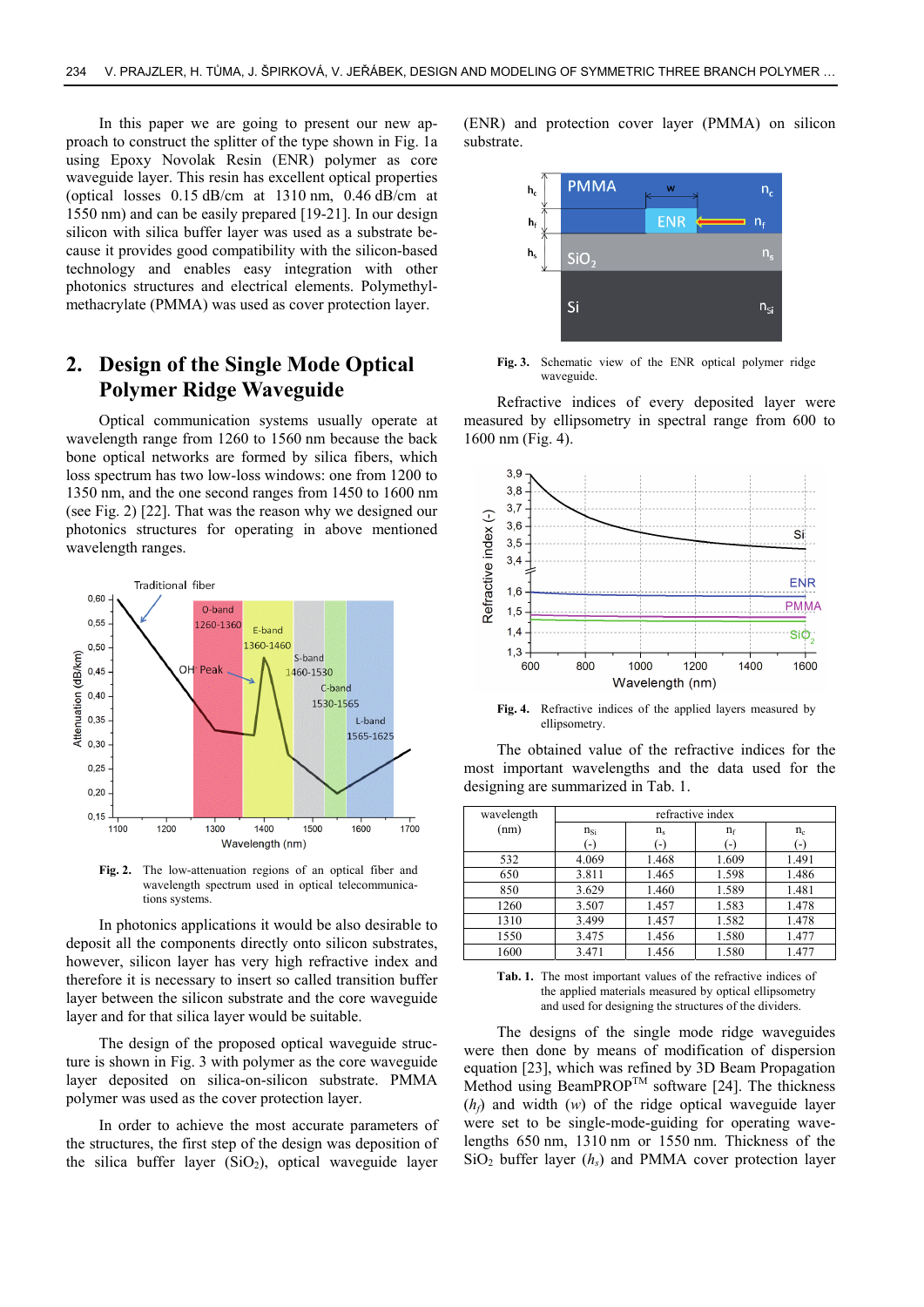In this paper we are going to present our new approach to construct the splitter of the type shown in Fig. 1a using Epoxy Novolak Resin (ENR) polymer as core waveguide layer. This resin has excellent optical properties (optical losses 0.15 dB/cm at 1310 nm, 0.46 dB/cm at 1550 nm) and can be easily prepared [19-21]. In our design silicon with silica buffer layer was used as a substrate because it provides good compatibility with the silicon-based technology and enables easy integration with other photonics structures and electrical elements. Polymethylmethacrylate (PMMA) was used as cover protection layer.

# **2. Design of the Single Mode Optical Polymer Ridge Waveguide**

Optical communication systems usually operate at wavelength range from 1260 to 1560 nm because the back bone optical networks are formed by silica fibers, which loss spectrum has two low-loss windows: one from 1200 to 1350 nm, and the one second ranges from 1450 to 1600 nm (see Fig. 2) [22]. That was the reason why we designed our photonics structures for operating in above mentioned wavelength ranges.



**Fig. 2.** The low-attenuation regions of an optical fiber and wavelength spectrum used in optical telecommunications systems.

In photonics applications it would be also desirable to deposit all the components directly onto silicon substrates, however, silicon layer has very high refractive index and therefore it is necessary to insert so called transition buffer layer between the silicon substrate and the core waveguide layer and for that silica layer would be suitable.

The design of the proposed optical waveguide structure is shown in Fig. 3 with polymer as the core waveguide layer deposited on silica-on-silicon substrate. PMMA polymer was used as the cover protection layer.

In order to achieve the most accurate parameters of the structures, the first step of the design was deposition of the silica buffer layer  $(SiO<sub>2</sub>)$ , optical waveguide layer

(ENR) and protection cover layer (PMMA) on silicon substrate.



**Fig. 3.** Schematic view of the ENR optical polymer ridge waveguide.

Refractive indices of every deposited layer were measured by ellipsometry in spectral range from 600 to 1600 nm (Fig. 4).



**Fig. 4.** Refractive indices of the applied layers measured by ellipsometry.

The obtained value of the refractive indices for the most important wavelengths and the data used for the designing are summarized in Tab. 1.

| wavelength | refractive index |                   |       |                   |
|------------|------------------|-------------------|-------|-------------------|
| (nm)       | $n_{Si}$         | $n_{\rm s}$       | $n_f$ | $n_{c}$           |
|            | $(-)$            | $\left( -\right)$ | $(-)$ | $\left( -\right)$ |
| 532        | 4.069            | 1.468             | 1.609 | 1.491             |
| 650        | 3.811            | 1.465             | 1.598 | 1.486             |
| 850        | 3.629            | 1.460             | 1.589 | 1.481             |
| 1260       | 3.507            | 1.457             | 1.583 | 1.478             |
| 1310       | 3.499            | 1.457             | 1.582 | 1.478             |
| 1550       | 3.475            | 1.456             | 1.580 | 1.477             |
| 1600       | 3.471            | 1.456             | 1.580 | 1.477             |

**Tab. 1.** The most important values of the refractive indices of the applied materials measured by optical ellipsometry and used for designing the structures of the dividers.

The designs of the single mode ridge waveguides were then done by means of modification of dispersion equation [23], which was refined by 3D Beam Propagation Method using BeamPROP<sup>TM</sup> software [24]. The thickness  $(h_f)$  and width  $(w)$  of the ridge optical waveguide layer were set to be single-mode-guiding for operating wavelengths 650 nm, 1310 nm or 1550 nm. Thickness of the  $SiO<sub>2</sub>$  buffer layer ( $h<sub>s</sub>$ ) and PMMA cover protection layer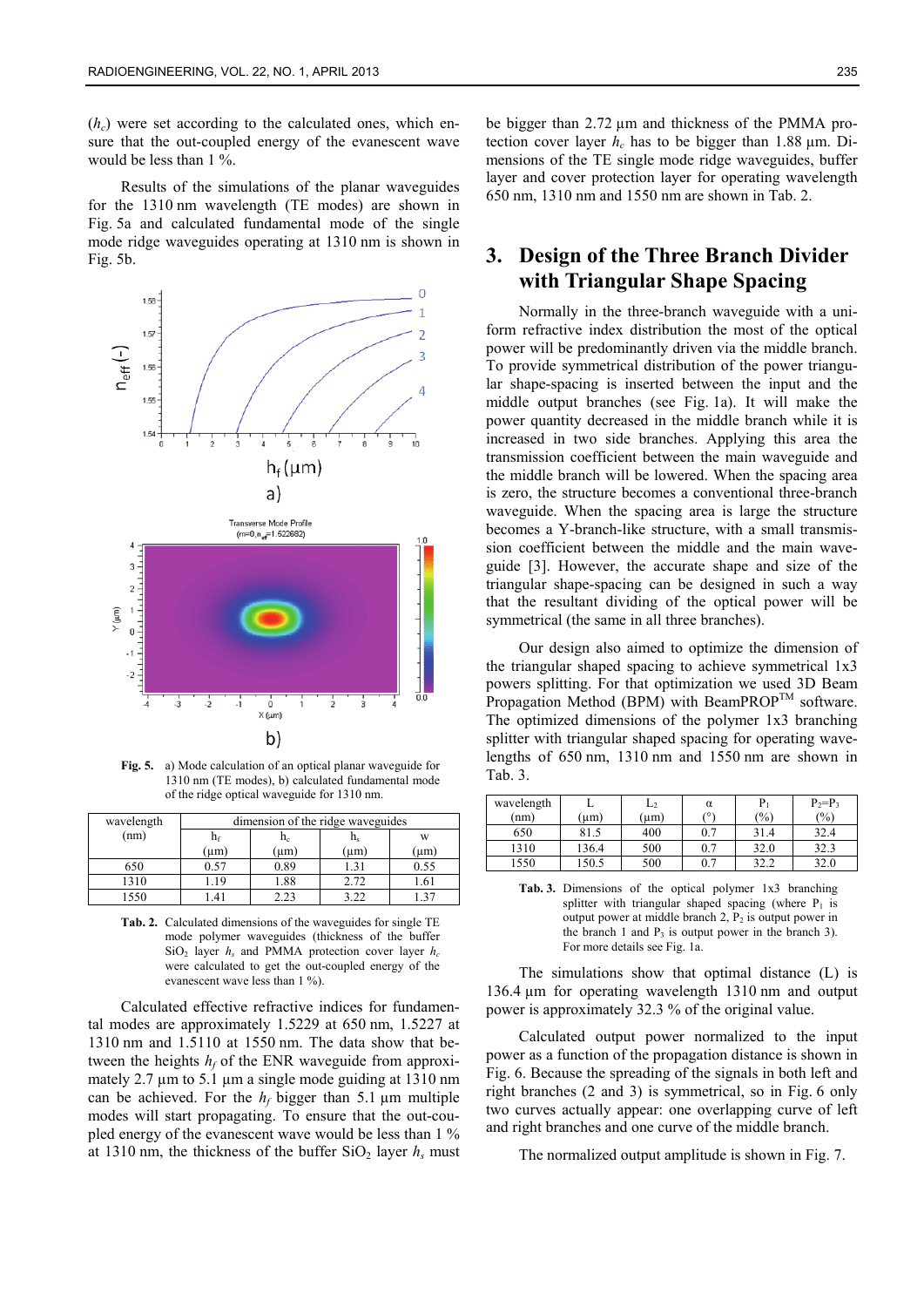$(h<sub>c</sub>)$  were set according to the calculated ones, which ensure that the out-coupled energy of the evanescent wave would be less than 1 %.

Results of the simulations of the planar waveguides for the 1310 nm wavelength (TE modes) are shown in Fig. 5a and calculated fundamental mode of the single mode ridge waveguides operating at 1310 nm is shown in Fig. 5b.



**Fig. 5.** a) Mode calculation of an optical planar waveguide for 1310 nm (TE modes), b) calculated fundamental mode of the ridge optical waveguide for 1310 nm.

| wavelength | dimension of the ridge waveguides |           |           |              |  |
|------------|-----------------------------------|-----------|-----------|--------------|--|
| (nm)       | hf<br>$\mathtt{n}_{\rm c}$        |           | $\rm n_s$ | W            |  |
|            | (um)                              | $(\mu m)$ | $(\mu m)$ | (um          |  |
| 650        | 0.57                              | 0.89      | .31       | 0.55         |  |
| 1310       | .19                               | 1.88      | 2.72      | . 61         |  |
| 1550       | $\overline{4}$                    | 2.23      | 3 22      | $2^{\prime}$ |  |

**Tab. 2.** Calculated dimensions of the waveguides for single TE mode polymer waveguides (thickness of the buffer  $SiO<sub>2</sub>$  layer  $h<sub>s</sub>$  and PMMA protection cover layer  $h<sub>c</sub>$ were calculated to get the out-coupled energy of the evanescent wave less than 1 %).

Calculated effective refractive indices for fundamental modes are approximately 1.5229 at 650 nm, 1.5227 at 1310 nm and 1.5110 at 1550 nm. The data show that between the heights  $h_f$  of the ENR waveguide from approximately 2.7  $\mu$ m to 5.1  $\mu$ m a single mode guiding at 1310 nm can be achieved. For the  $h_f$  bigger than 5.1  $\mu$ m multiple modes will start propagating. To ensure that the out-coupled energy of the evanescent wave would be less than 1 % at 1310 nm, the thickness of the buffer  $SiO<sub>2</sub>$  layer  $h<sub>s</sub>$  must be bigger than 2.72 µm and thickness of the PMMA protection cover layer  $h_c$  has to be bigger than 1.88  $\mu$ m. Dimensions of the TE single mode ridge waveguides, buffer layer and cover protection layer for operating wavelength 650 nm, 1310 nm and 1550 nm are shown in Tab. 2.

# **3. Design of the Three Branch Divider with Triangular Shape Spacing**

Normally in the three-branch waveguide with a uniform refractive index distribution the most of the optical power will be predominantly driven via the middle branch. To provide symmetrical distribution of the power triangular shape-spacing is inserted between the input and the middle output branches (see Fig. 1a). It will make the power quantity decreased in the middle branch while it is increased in two side branches. Applying this area the transmission coefficient between the main waveguide and the middle branch will be lowered. When the spacing area is zero, the structure becomes a conventional three-branch waveguide. When the spacing area is large the structure becomes a Y-branch-like structure, with a small transmission coefficient between the middle and the main waveguide [3]. However, the accurate shape and size of the triangular shape-spacing can be designed in such a way that the resultant dividing of the optical power will be symmetrical (the same in all three branches).

Our design also aimed to optimize the dimension of the triangular shaped spacing to achieve symmetrical 1x3 powers splitting. For that optimization we used 3D Beam Propagation Method (BPM) with BeamPROP<sup>TM</sup> software. The optimized dimensions of the polymer 1x3 branching splitter with triangular shaped spacing for operating wavelengths of 650 nm, 1310 nm and 1550 nm are shown in Tab. 3.

| wavelength |       | $L_2$     | α   | Pı            | $P_2 = P_3$ |
|------------|-------|-----------|-----|---------------|-------------|
| (nm)       | (um)  | $(\mu m)$ | (0) | $\frac{1}{2}$ | (%)         |
| 650        | 81.5  | 400       | 0.7 | 31.4          | 32.4        |
| 1310       | 136.4 | 500       | 0.7 | 32.0          | 32.3        |
| 1550       | 150.5 | 500       | 0.7 | 32.2          | 32.0        |

**Tab. 3.** Dimensions of the optical polymer 1x3 branching splitter with triangular shaped spacing (where  $P_1$  is output power at middle branch  $2$ ,  $P_2$  is output power in the branch 1 and  $P_3$  is output power in the branch 3). For more details see Fig. 1a.

The simulations show that optimal distance (L) is 136.4 µm for operating wavelength 1310 nm and output power is approximately 32.3 % of the original value.

Calculated output power normalized to the input power as a function of the propagation distance is shown in Fig. 6. Because the spreading of the signals in both left and right branches (2 and 3) is symmetrical, so in Fig. 6 only two curves actually appear: one overlapping curve of left and right branches and one curve of the middle branch.

The normalized output amplitude is shown in Fig. 7.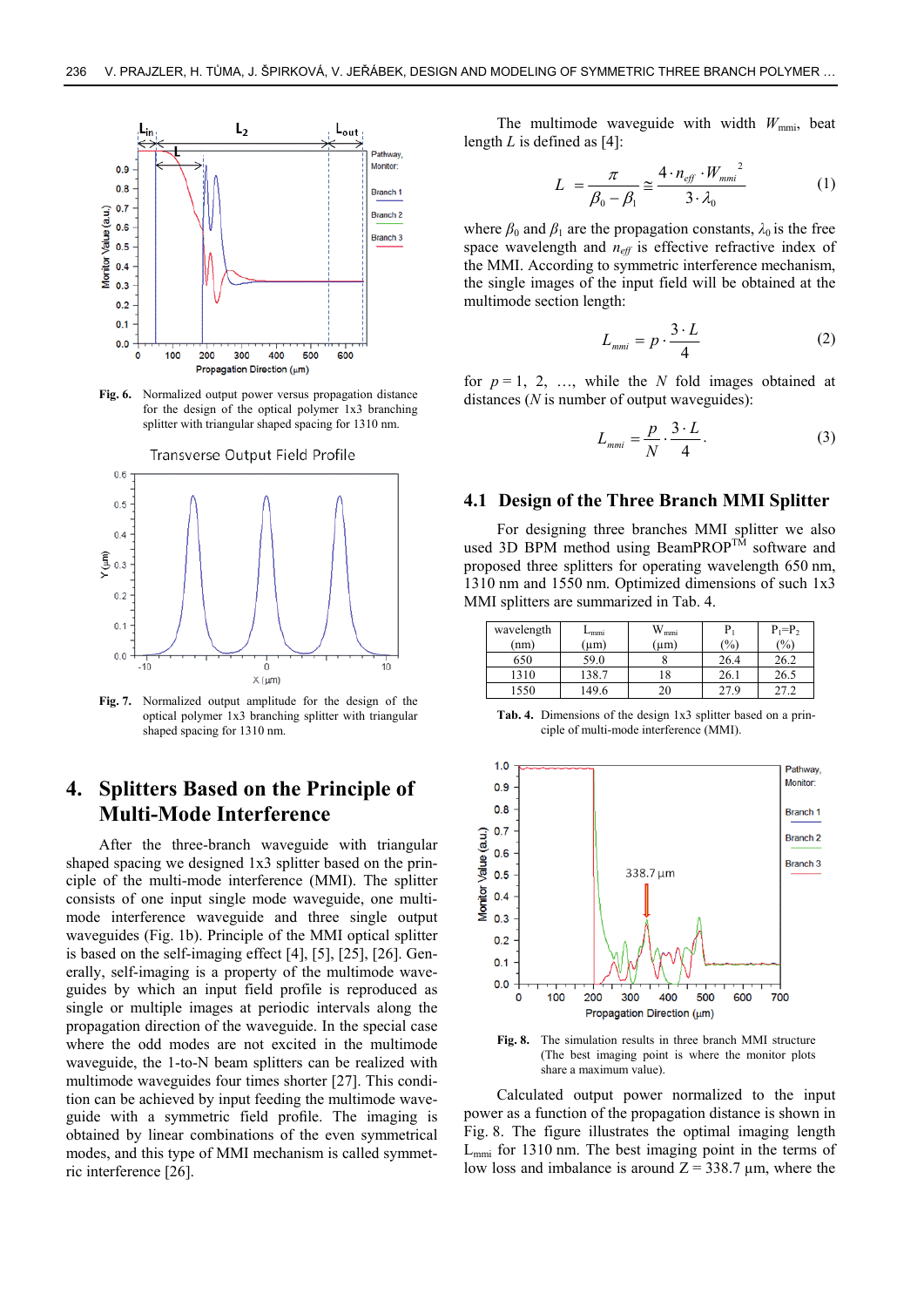

**Fig. 6.** Normalized output power versus propagation distance for the design of the optical polymer 1x3 branching splitter with triangular shaped spacing for 1310 nm.



**Fig. 7.** Normalized output amplitude for the design of the optical polymer 1x3 branching splitter with triangular shaped spacing for 1310 nm.

# **4. Splitters Based on the Principle of Multi-Mode Interference**

After the three-branch waveguide with triangular shaped spacing we designed 1x3 splitter based on the principle of the multi-mode interference (MMI). The splitter consists of one input single mode waveguide, one multimode interference waveguide and three single output waveguides (Fig. 1b). Principle of the MMI optical splitter is based on the self-imaging effect [4], [5], [25], [26]. Generally, self-imaging is a property of the multimode waveguides by which an input field profile is reproduced as single or multiple images at periodic intervals along the propagation direction of the waveguide. In the special case where the odd modes are not excited in the multimode waveguide, the 1-to-N beam splitters can be realized with multimode waveguides four times shorter [27]. This condition can be achieved by input feeding the multimode waveguide with a symmetric field profile. The imaging is obtained by linear combinations of the even symmetrical modes, and this type of MMI mechanism is called symmetric interference [26].

The multimode waveguide with width  $W_{\text{mmi}}$ , beat length *L* is defined as [4]:

$$
L = \frac{\pi}{\beta_0 - \beta_1} \approx \frac{4 \cdot n_{\text{eff}} \cdot W_{\text{mm}i}^2}{3 \cdot \lambda_0}
$$
 (1)

where  $\beta_0$  and  $\beta_1$  are the propagation constants,  $\lambda_0$  is the free space wavelength and  $n_{\text{eff}}$  is effective refractive index of the MMI. According to symmetric interference mechanism, the single images of the input field will be obtained at the multimode section length:

$$
L_{mmi} = p \cdot \frac{3 \cdot L}{4} \tag{2}
$$

for  $p = 1, 2, \ldots$ , while the *N* fold images obtained at distances (*N* is number of output waveguides):

$$
L_{mmi} = \frac{p}{N} \cdot \frac{3 \cdot L}{4}.
$$
 (3)

#### **4.1 Design of the Three Branch MMI Splitter**

For designing three branches MMI splitter we also used 3D BPM method using BeamPROP<sup>TM</sup> software and proposed three splitters for operating wavelength 650 nm, 1310 nm and 1550 nm. Optimized dimensions of such 1x3 MMI splitters are summarized in Tab. 4.

| wavelength | $L_{mmi}$ | $\rm{W}_{\rm{mmi}}$ |      | $P_1 = P_2$ |
|------------|-----------|---------------------|------|-------------|
| (nm)       | $(\mu m)$ | (um)                | (%)  | (%)         |
| 650        | 59.0      |                     | 26.4 | 26.2        |
| 1310       | 138.7     | 18                  | 26.1 | 26.5        |
| 1550       | 149.6     | 20                  | 27.9 |             |

**Tab. 4.** Dimensions of the design 1x3 splitter based on a principle of multi-mode interference (MMI).



**Fig. 8.** The simulation results in three branch MMI structure (The best imaging point is where the monitor plots share a maximum value).

Calculated output power normalized to the input power as a function of the propagation distance is shown in Fig. 8. The figure illustrates the optimal imaging length  $L_{mmi}$  for 1310 nm. The best imaging point in the terms of low loss and imbalance is around  $Z = 338.7 \text{ µm}$ , where the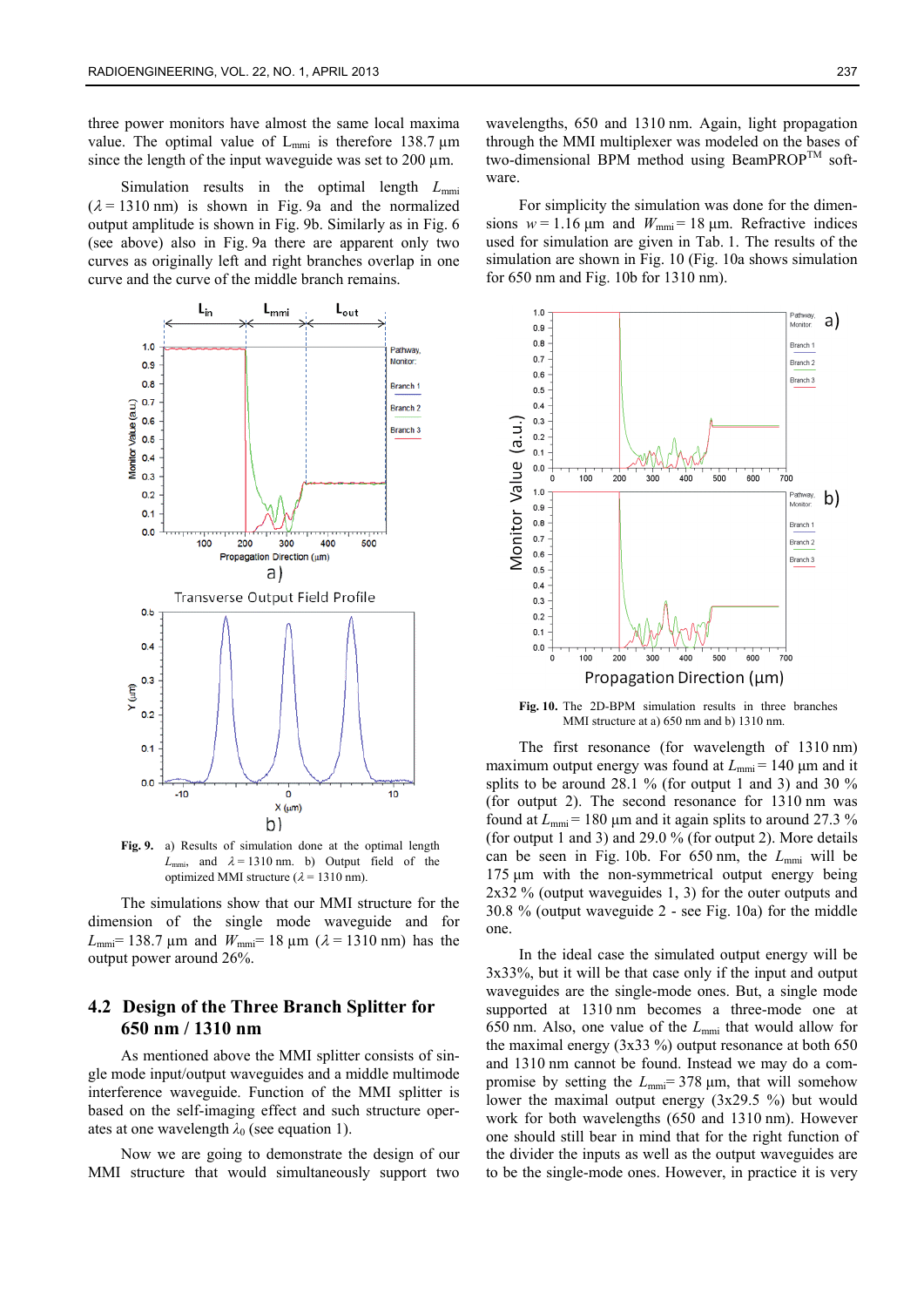three power monitors have almost the same local maxima value. The optimal value of  $L_{mmi}$  is therefore 138.7  $\mu$ m since the length of the input waveguide was set to  $200 \mu m$ .

Simulation results in the optimal length  $L_{mm}$  $(\lambda = 1310 \text{ nm})$  is shown in Fig. 9a and the normalized output amplitude is shown in Fig. 9b. Similarly as in Fig. 6 (see above) also in Fig. 9a there are apparent only two curves as originally left and right branches overlap in one curve and the curve of the middle branch remains.



**Fig. 9.** a) Results of simulation done at the optimal length  $L_{\text{mmi}}$ , and  $\lambda = 1310 \text{ nm}$ . b) Output field of the optimized MMI structure ( $\lambda$  = 1310 nm).

The simulations show that our MMI structure for the dimension of the single mode waveguide and for  $L_{\text{mm}}$  = 138.7 µm and  $W_{\text{mm}}$  = 18 µm ( $\lambda$  = 1310 nm) has the output power around 26%.

### **4.2 Design of the Three Branch Splitter for 650 nm / 1310 nm**

As mentioned above the MMI splitter consists of single mode input/output waveguides and a middle multimode interference waveguide. Function of the MMI splitter is based on the self-imaging effect and such structure operates at one wavelength  $\lambda_0$  (see equation 1).

Now we are going to demonstrate the design of our MMI structure that would simultaneously support two

wavelengths, 650 and 1310 nm. Again, light propagation through the MMI multiplexer was modeled on the bases of two-dimensional BPM method using BeamPROP<sup>TM</sup> software.

For simplicity the simulation was done for the dimensions  $w = 1.16 \text{ µm}$  and  $W_{\text{mmi}} = 18 \text{ µm}$ . Refractive indices used for simulation are given in Tab. 1. The results of the simulation are shown in Fig. 10 (Fig. 10a shows simulation for 650 nm and Fig. 10b for 1310 nm).



**Fig. 10.** The 2D-BPM simulation results in three branches MMI structure at a) 650 nm and b) 1310 nm.

The first resonance (for wavelength of 1310 nm) maximum output energy was found at  $L_{mm}$  = 140  $\mu$ m and it splits to be around 28.1 % (for output 1 and 3) and 30 % (for output 2). The second resonance for 1310 nm was found at  $L_{\text{mmi}}$  = 180 μm and it again splits to around 27.3 % (for output 1 and 3) and 29.0 % (for output 2). More details can be seen in Fig. 10b. For 650 nm, the *L*mmi will be 175 μm with the non-symmetrical output energy being 2x32 % (output waveguides 1, 3) for the outer outputs and 30.8 % (output waveguide 2 - see Fig. 10a) for the middle one.

In the ideal case the simulated output energy will be 3x33%, but it will be that case only if the input and output waveguides are the single-mode ones. But, a single mode supported at 1310 nm becomes a three-mode one at 650 nm. Also, one value of the *L*mmi that would allow for the maximal energy  $(3x33\%)$  output resonance at both 650 and 1310 nm cannot be found. Instead we may do a compromise by setting the *L*mmi= 378 μm, that will somehow lower the maximal output energy (3x29.5 %) but would work for both wavelengths (650 and 1310 nm). However one should still bear in mind that for the right function of the divider the inputs as well as the output waveguides are to be the single-mode ones. However, in practice it is very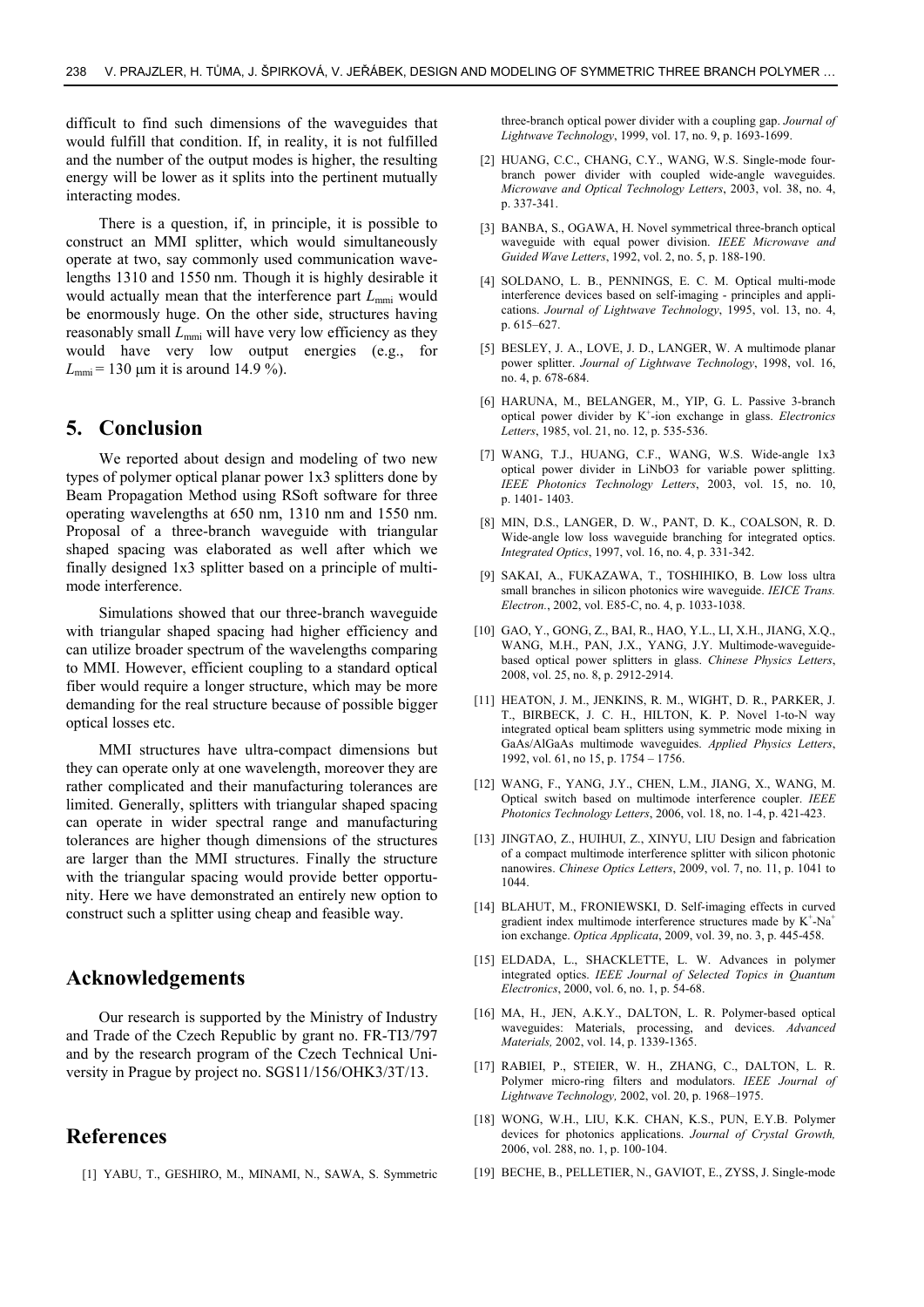difficult to find such dimensions of the waveguides that would fulfill that condition. If, in reality, it is not fulfilled and the number of the output modes is higher, the resulting energy will be lower as it splits into the pertinent mutually interacting modes.

There is a question, if, in principle, it is possible to construct an MMI splitter, which would simultaneously operate at two, say commonly used communication wavelengths 1310 and 1550 nm. Though it is highly desirable it would actually mean that the interference part  $L_{mmi}$  would be enormously huge. On the other side, structures having reasonably small  $L_{mmi}$  will have very low efficiency as they would have very low output energies (e.g., for  $L_{\text{mmi}} = 130 \text{ µm}$  it is around 14.9 %).

### **5. Conclusion**

We reported about design and modeling of two new types of polymer optical planar power 1x3 splitters done by Beam Propagation Method using RSoft software for three operating wavelengths at 650 nm, 1310 nm and 1550 nm. Proposal of a three-branch waveguide with triangular shaped spacing was elaborated as well after which we finally designed 1x3 splitter based on a principle of multimode interference.

Simulations showed that our three-branch waveguide with triangular shaped spacing had higher efficiency and can utilize broader spectrum of the wavelengths comparing to MMI. However, efficient coupling to a standard optical fiber would require a longer structure, which may be more demanding for the real structure because of possible bigger optical losses etc.

MMI structures have ultra-compact dimensions but they can operate only at one wavelength, moreover they are rather complicated and their manufacturing tolerances are limited. Generally, splitters with triangular shaped spacing can operate in wider spectral range and manufacturing tolerances are higher though dimensions of the structures are larger than the MMI structures. Finally the structure with the triangular spacing would provide better opportunity. Here we have demonstrated an entirely new option to construct such a splitter using cheap and feasible way.

# **Acknowledgements**

Our research is supported by the Ministry of Industry and Trade of the Czech Republic by grant no. FR-TI3/797 and by the research program of the Czech Technical University in Prague by project no. SGS11/156/OHK3/3T/13.

### **References**

[1] YABU, T., GESHIRO, M., MINAMI, N., SAWA, S. Symmetric

three-branch optical power divider with a coupling gap. *Journal of Lightwave Technology*, 1999, vol. 17, no. 9, p. 1693-1699.

- [2] HUANG, C.C., CHANG, C.Y., WANG, W.S. Single-mode fourbranch power divider with coupled wide-angle waveguides. *Microwave and Optical Technology Letters*, 2003, vol. 38, no. 4, p. 337-341.
- [3] BANBA, S., OGAWA, H. Novel symmetrical three-branch optical waveguide with equal power division. *IEEE Microwave and Guided Wave Letters*, 1992, vol. 2, no. 5, p. 188-190.
- [4] SOLDANO, L. B., PENNINGS, E. C. M. Optical multi-mode interference devices based on self-imaging - principles and applications. *Journal of Lightwave Technology*, 1995, vol. 13, no. 4, p. 615–627.
- [5] BESLEY, J. A., LOVE, J. D., LANGER, W. A multimode planar power splitter. *Journal of Lightwave Technology*, 1998, vol. 16, no. 4, p. 678-684.
- [6] HARUNA, M., BELANGER, M., YIP, G. L. Passive 3-branch optical power divider by K+ -ion exchange in glass. *Electronics Letters*, 1985, vol. 21, no. 12, p. 535-536.
- [7] WANG, T.J., HUANG, C.F., WANG, W.S. Wide-angle 1x3 optical power divider in LiNbO3 for variable power splitting. *IEEE Photonics Technology Letters*, 2003, vol. 15, no. 10, p. 1401- 1403.
- [8] MIN, D.S., LANGER, D. W., PANT, D. K., COALSON, R. D. Wide-angle low loss waveguide branching for integrated optics. *Integrated Optics*, 1997, vol. 16, no. 4, p. 331-342.
- [9] SAKAI, A., FUKAZAWA, T., TOSHIHIKO, B. Low loss ultra small branches in silicon photonics wire waveguide. *IEICE Trans. Electron.*, 2002, vol. E85-C, no. 4, p. 1033-1038.
- [10] GAO, Y., GONG, Z., BAI, R., HAO, Y.L., LI, X.H., JIANG, X.Q., WANG, M.H., PAN, J.X., YANG, J.Y. Multimode-waveguidebased optical power splitters in glass. *Chinese Physics Letters*, 2008, vol. 25, no. 8, p. 2912-2914.
- [11] HEATON, J. M., JENKINS, R. M., WIGHT, D. R., PARKER, J. T., BIRBECK, J. C. H., HILTON, K. P. Novel 1-to-N way integrated optical beam splitters using symmetric mode mixing in GaAs/AlGaAs multimode waveguides. *Applied Physics Letters*, 1992, vol. 61, no 15, p. 1754 – 1756.
- [12] WANG, F., YANG, J.Y., CHEN, L.M., JIANG, X., WANG, M. Optical switch based on multimode interference coupler. *IEEE Photonics Technology Letters*, 2006, vol. 18, no. 1-4, p. 421-423.
- [13] JINGTAO, Z., HUIHUI, Z., XINYU, LIU Design and fabrication of a compact multimode interference splitter with silicon photonic nanowires. *Chinese Optics Letters*, 2009, vol. 7, no. 11, p. 1041 to 1044.
- [14] BLAHUT, M., FRONIEWSKI, D. Self-imaging effects in curved gradient index multimode interference structures made by  $K^+$ -Na<sup>+</sup> ion exchange. *Optica Applicata*, 2009, vol. 39, no. 3, p. 445-458.
- [15] ELDADA, L., SHACKLETTE, L. W. Advances in polymer integrated optics. *IEEE Journal of Selected Topics in Quantum Electronics*, 2000, vol. 6, no. 1, p. 54-68.
- [16] MA, H., JEN, A.K.Y., DALTON, L. R. Polymer-based optical waveguides: Materials, processing, and devices. *Advanced Materials,* 2002, vol. 14, p. 1339-1365.
- [17] RABIEI, P., STEIER, W. H., ZHANG, C., DALTON, L. R. Polymer micro-ring filters and modulators. *IEEE Journal of Lightwave Technology,* 2002, vol. 20, p. 1968–1975.
- [18] WONG, W.H., LIU, K.K. CHAN, K.S., PUN, E.Y.B. Polymer devices for photonics applications. *Journal of Crystal Growth,* 2006, vol. 288, no. 1, p. 100-104.
- [19] BECHE, B., PELLETIER, N., GAVIOT, E., ZYSS, J. Single-mode